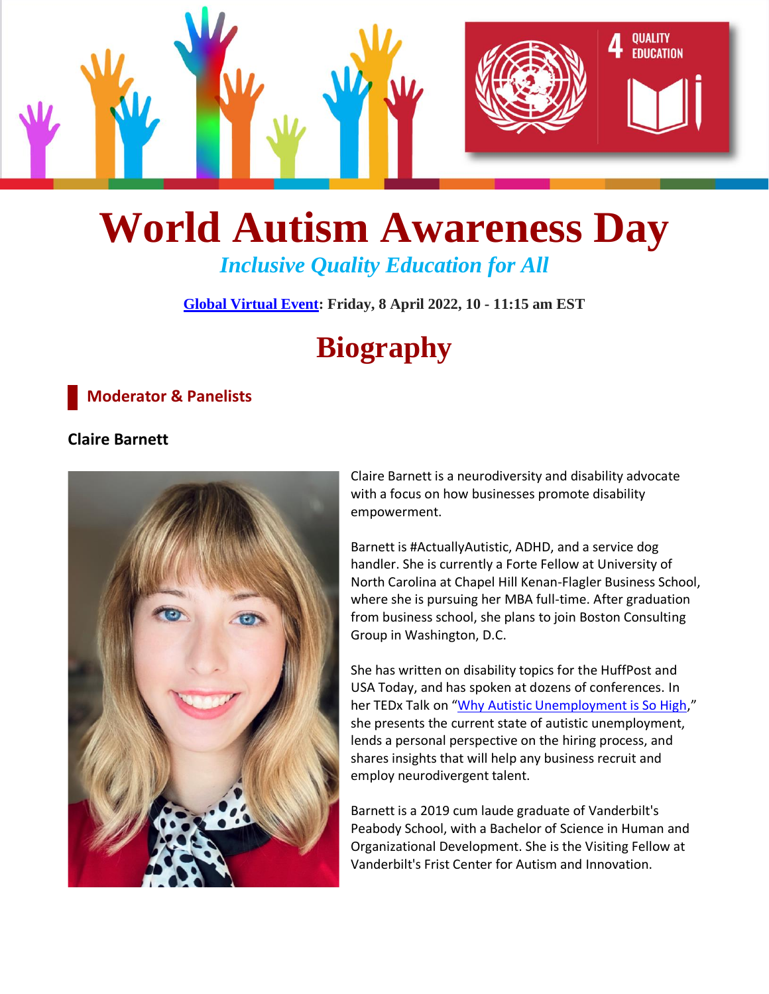

# **World Autism Awareness Day** *Inclusive Quality Education for All*

**[Global Virtual Event:](https://www.un.org/en/observances/autism-day) Friday, 8 April 2022, 10 - 11:15 am EST**

# **Biography**

#### **Moderator & Panelists**

#### **Claire Barnett**



Claire Barnett is a neurodiversity and disability advocate with a focus on how businesses promote disability empowerment.

Barnett is #ActuallyAutistic, ADHD, and a service dog handler. She is currently a Forte Fellow at University of North Carolina at Chapel Hill Kenan-Flagler Business School, where she is pursuing her MBA full-time. After graduation from business school, she plans to join Boston Consulting Group in Washington, D.C.

She has written on disability topics for the HuffPost and USA Today, and has spoken at dozens of conferences. In her TEDx Talk on "[Why Autistic Unemployment is So High](https://www.youtube.com/watch?v=FVZu557_k04)," she presents the current state of autistic unemployment, lends a personal perspective on the hiring process, and shares insights that will help any business recruit and employ neurodivergent talent.

Barnett is a 2019 cum laude graduate of Vanderbilt's Peabody School, with a Bachelor of Science in Human and Organizational Development. She is the Visiting Fellow at Vanderbilt's Frist Center for Autism and Innovation.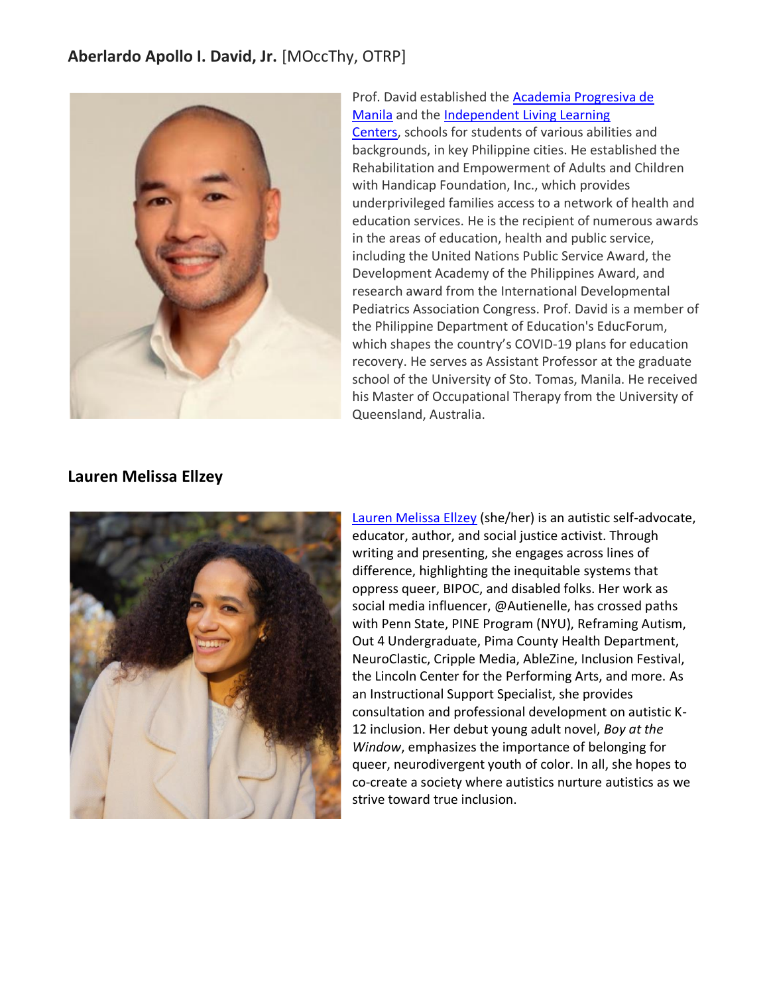### **Aberlardo Apollo I. David, Jr.** [MOccThy, OTRP]



Prof. David established the [Academia Progresiva de](https://apdmphilippines.com/)  [Manila](https://apdmphilippines.com/) and the [Independent Living Learning](https://illcphilippines.com/)  [Centers,](https://illcphilippines.com/) schools for students of various abilities and backgrounds, in key Philippine cities. He established the Rehabilitation and Empowerment of Adults and Children with Handicap Foundation, Inc., which provides underprivileged families access to a network of health and education services. He is the recipient of numerous awards in the areas of education, health and public service, including the United Nations Public Service Award, the Development Academy of the Philippines Award, and research award from the International Developmental Pediatrics Association Congress. Prof. David is a member of the Philippine Department of Education's EducForum, which shapes the country's COVID-19 plans for education recovery. He serves as Assistant Professor at the graduate school of the University of Sto. Tomas, Manila. He received his Master of Occupational Therapy from the University of Queensland, Australia.

#### **Lauren Melissa Ellzey**



[Lauren Melissa Ellzey](https://laurenmelissaellzey.com/) (she/her) is an autistic self-advocate, educator, author, and social justice activist. Through writing and presenting, she engages across lines of difference, highlighting the inequitable systems that oppress queer, BIPOC, and disabled folks. Her work as social media influencer, @Autienelle, has crossed paths with Penn State, PINE Program (NYU), Reframing Autism, Out 4 Undergraduate, Pima County Health Department, NeuroClastic, Cripple Media, AbleZine, Inclusion Festival, the Lincoln Center for the Performing Arts, and more. As an Instructional Support Specialist, she provides consultation and professional development on autistic K-12 inclusion. Her debut young adult novel, *Boy at the Window*, emphasizes the importance of belonging for queer, neurodivergent youth of color. In all, she hopes to co-create a society where autistics nurture autistics as we strive toward true inclusion.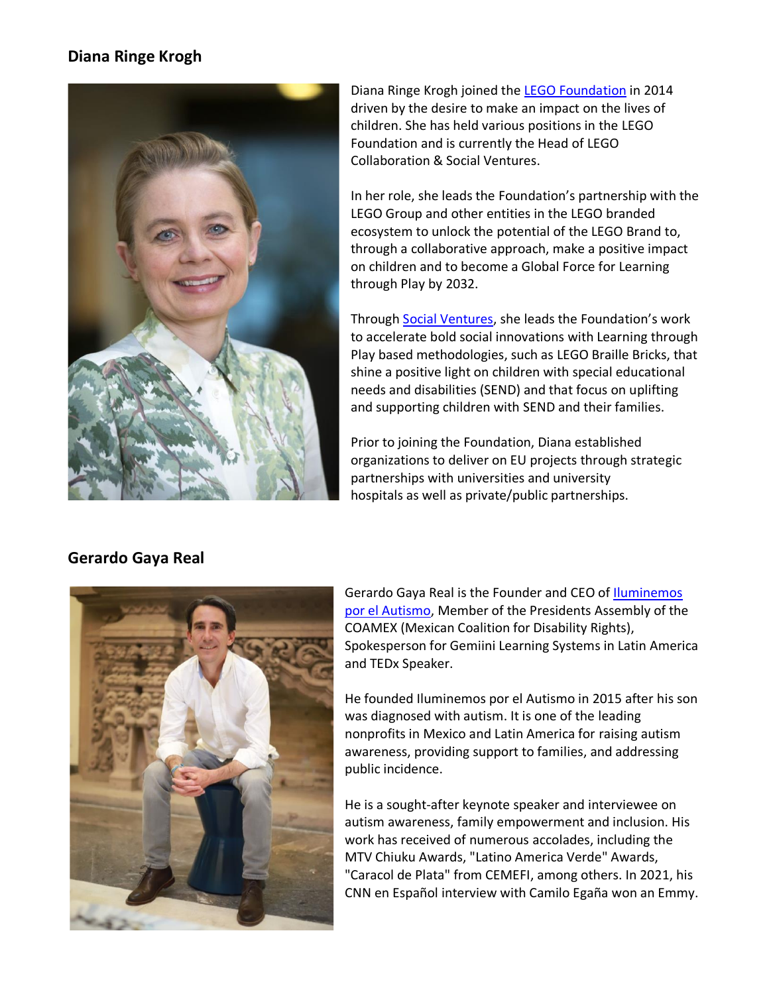#### **Diana Ringe Krogh**



Diana Ringe Krogh joined the [LEGO Foundation](https://learningthroughplay.com/about-us/the-lego-foundation) in 2014 driven by the desire to make an impact on the lives of children. She has held various positions in the LEGO Foundation and is currently the Head of LEGO Collaboration & Social Ventures.

In her role, she leads the Foundation's partnership with the LEGO Group and other entities in the LEGO branded ecosystem to unlock the potential of the LEGO Brand to, through a collaborative approach, make a positive impact on children and to become a Global Force for Learning through Play by 2032.

Through [Social Ventures,](https://legoventures.com/about/) she leads the Foundation's work to accelerate bold social innovations with Learning through Play based methodologies, such as LEGO Braille Bricks, that shine a positive light on children with special educational needs and disabilities (SEND) and that focus on uplifting and supporting children with SEND and their families.

Prior to joining the Foundation, Diana established organizations to deliver on EU projects through strategic partnerships with universities and university hospitals as well as private/public partnerships.

#### **Gerardo Gaya Real**



Gerardo Gaya Real is the Founder and CEO of *Iluminemos* [por el Autismo,](https://www.youtube.com/watch?v=g3umuOWdMyA) Member of the Presidents Assembly of the COAMEX (Mexican Coalition for Disability Rights), Spokesperson for Gemiini Learning Systems in Latin America and TEDx Speaker.

He founded Iluminemos por el Autismo in 2015 after his son was diagnosed with autism. It is one of the leading nonprofits in Mexico and Latin America for raising autism awareness, providing support to families, and addressing public incidence.

He is a sought-after keynote speaker and interviewee on autism awareness, family empowerment and inclusion. His work has received of numerous accolades, including the MTV Chiuku Awards, "Latino America Verde" Awards, "Caracol de Plata" from CEMEFI, among others. In 2021, his CNN en Español interview with Camilo Egaña won an Emmy.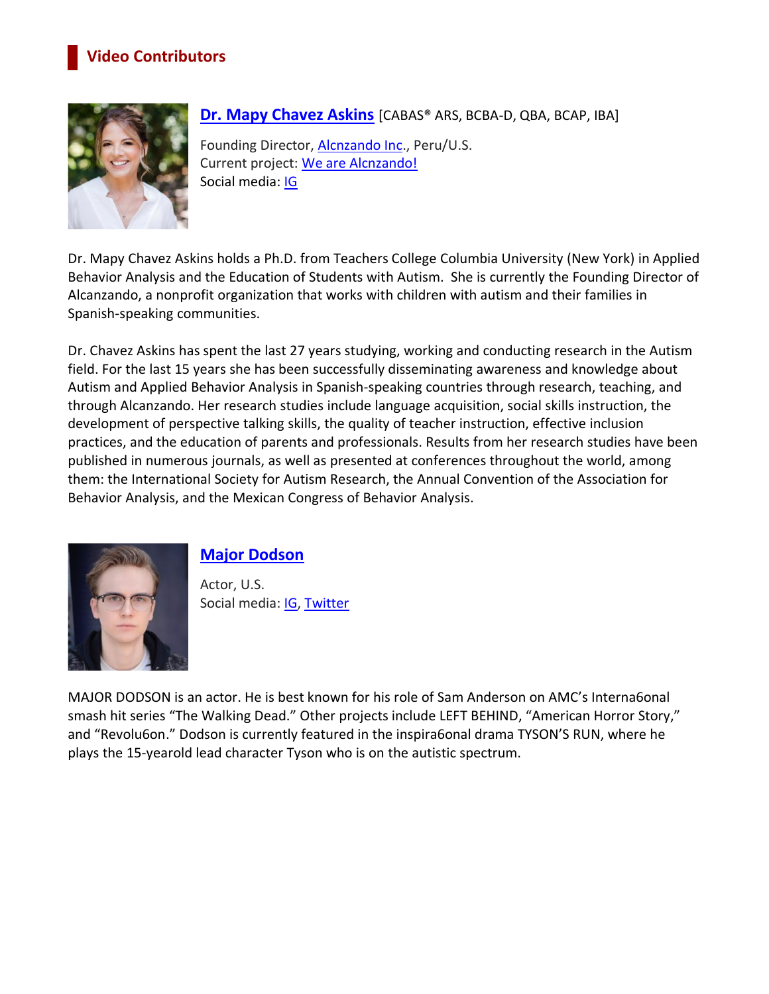# **Video Contributors**



#### **[Dr. Mapy Chavez Askins](https://alcanzando.org/our-directors/)** [CABAS® ARS, BCBA-D, QBA, BCAP, IBA]

Founding Director, [Alcnzando Inc.](http://www.alcanzando.org/), Peru/U.S. Current project: [We are Alcnzando!](https://www.youtube.com/watch?v=_ZT4DMxAyEA) Social media: [IG](https://www.instagram.com/mapyaskins/?hl=en)

Dr. Mapy Chavez Askins holds a Ph.D. from Teachers College Columbia University (New York) in Applied Behavior Analysis and the Education of Students with Autism. She is currently the Founding Director of Alcanzando, a nonprofit organization that works with children with autism and their families in Spanish-speaking communities.

Dr. Chavez Askins has spent the last 27 years studying, working and conducting research in the Autism field. For the last 15 years she has been successfully disseminating awareness and knowledge about Autism and Applied Behavior Analysis in Spanish-speaking countries through research, teaching, and through Alcanzando. Her research studies include language acquisition, social skills instruction, the development of perspective talking skills, the quality of teacher instruction, effective inclusion practices, and the education of parents and professionals. Results from her research studies have been published in numerous journals, as well as presented at conferences throughout the world, among them: the International Society for Autism Research, the Annual Convention of the Association for Behavior Analysis, and the Mexican Congress of Behavior Analysis.



#### **[Major Dodson](https://www.imdb.com/name/nm4161282/)**

Actor, U.S. Social media: [IG,](https://www.instagram.com/major_dodson/?hl=en) [Twitter](https://twitter.com/major_dodson)

MAJOR DODSON is an actor. He is best known for his role of Sam Anderson on AMC's Interna6onal smash hit series "The Walking Dead." Other projects include LEFT BEHIND, "American Horror Story," and "Revolu6on." Dodson is currently featured in the inspira6onal drama TYSON'S RUN, where he plays the 15-yearold lead character Tyson who is on the autistic spectrum.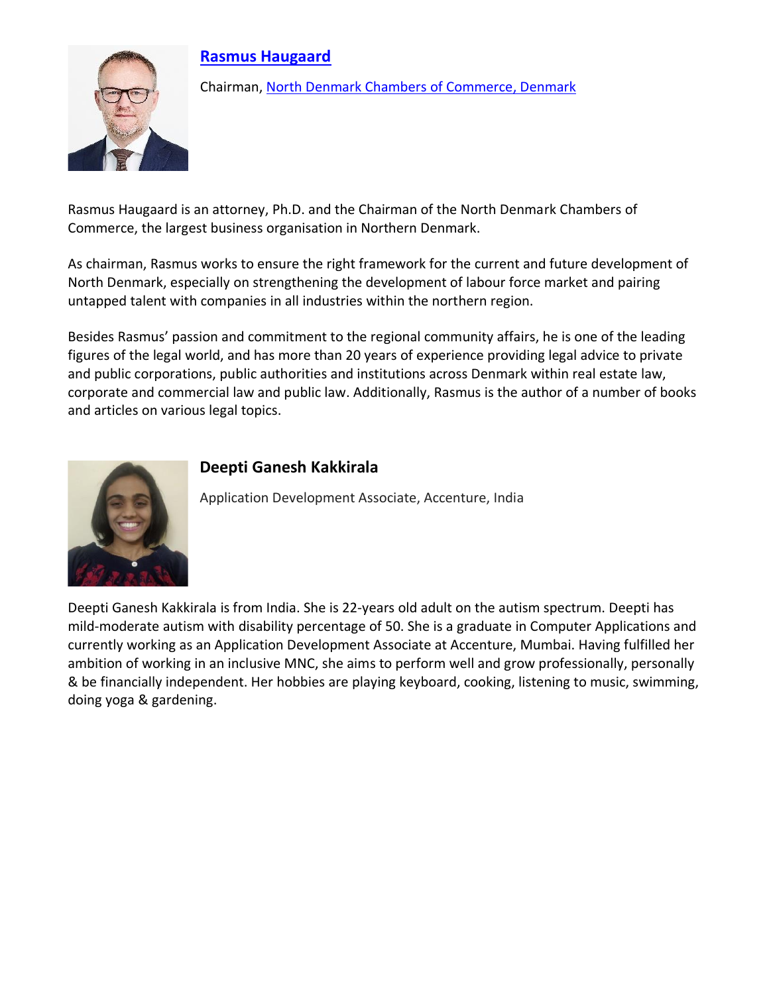# **[Rasmus Haugaard](https://www.linkedin.com/in/rasmushaugaard/)**



Chairman, [North Denmark Chambers of Commerce,](https://www.erhvervnorddanmark.dk/) Denmark

Rasmus Haugaard is an attorney, Ph.D. and the Chairman of the North Denmark Chambers of Commerce, the largest business organisation in Northern Denmark.

As chairman, Rasmus works to ensure the right framework for the current and future development of North Denmark, especially on strengthening the development of labour force market and pairing untapped talent with companies in all industries within the northern region.

Besides Rasmus' passion and commitment to the regional community affairs, he is one of the leading figures of the legal world, and has more than 20 years of experience providing legal advice to private and public corporations, public authorities and institutions across Denmark within real estate law, corporate and commercial law and public law. Additionally, Rasmus is the author of a number of books and articles on various legal topics.



#### **Deepti Ganesh Kakkirala**

Application Development Associate, Accenture, India

Deepti Ganesh Kakkirala is from India. She is 22-years old adult on the autism spectrum. Deepti has mild-moderate autism with disability percentage of 50. She is a graduate in Computer Applications and currently working as an Application Development Associate at Accenture, Mumbai. Having fulfilled her ambition of working in an inclusive MNC, she aims to perform well and grow professionally, personally & be financially independent. Her hobbies are playing keyboard, cooking, listening to music, swimming, doing yoga & gardening.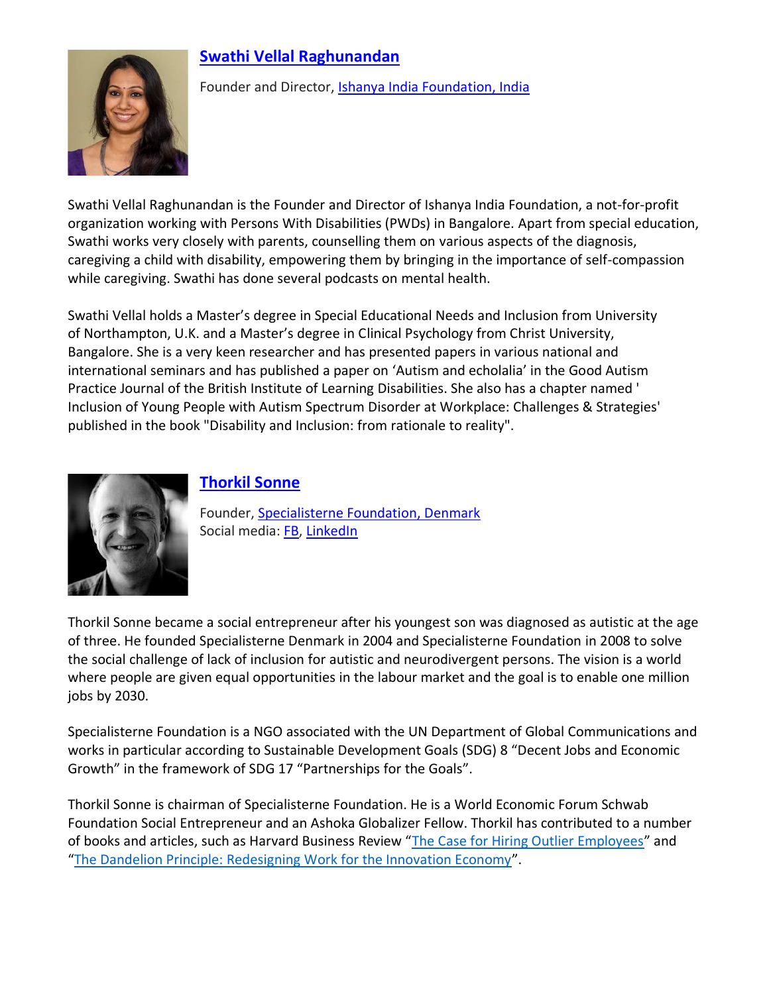# **[Swathi Vellal](https://ishanyaindia.org/about-us/) Raghunandan**



Founder and Director, [Ishanya India Foundation,](https://ishanyaindia.org/) India

Swathi Vellal Raghunandan is the Founder and Director of Ishanya India Foundation, a not-for-profit organization working with Persons With Disabilities (PWDs) in Bangalore. Apart from special education, Swathi works very closely with parents, counselling them on various aspects of the diagnosis, caregiving a child with disability, empowering them by bringing in the importance of self-compassion while caregiving. Swathi has done several podcasts on mental health.

Swathi Vellal holds a Master's degree in Special Educational Needs and Inclusion from University of Northampton, U.K. and a Master's degree in Clinical Psychology from Christ University, Bangalore. She is a very keen researcher and has presented papers in various national and international seminars and has published a paper on 'Autism and echolalia' in the Good Autism Practice Journal of the British Institute of Learning Disabilities. She also has a chapter named ' Inclusion of Young People with Autism Spectrum Disorder at Workplace: Challenges & Strategies' published in the book "Disability and Inclusion: from rationale to reality".



#### **[Thorkil Sonne](http://bit.ly/ThorkilSonneBio)**

Founder, [Specialisterne Foundation,](https://specialisternefoundation.com/) Denmark Social media: [FB,](https://www.facebook.com/specialisternefoundation) [LinkedIn](https://www.linkedin.com/company/specialisternefoundation/)

Thorkil Sonne became a social entrepreneur after his youngest son was diagnosed as autistic at the age of three. He founded Specialisterne Denmark in 2004 and Specialisterne Foundation in 2008 to solve the social challenge of lack of inclusion for autistic and neurodivergent persons. The vision is a world where people are given equal opportunities in the labour market and the goal is to enable one million jobs by 2030.

Specialisterne Foundation is a NGO associated with the UN Department of Global Communications and works in particular according to Sustainable Development Goals (SDG) 8 "Decent Jobs and Economic Growth" in the framework of SDG 17 "Partnerships for the Goals".

Thorkil Sonne is chairman of Specialisterne Foundation. He is a World Economic Forum Schwab Foundation Social Entrepreneur and an Ashoka Globalizer Fellow. Thorkil has contributed to a number of books and articles, such as Harvard Business Review "[The Case for Hiring Outlier Employees](https://research.cbs.dk/en/publications/the-case-for-hiring-outlier-employees)" and "[The Dandelion Principle: Redesigning Work for the Innovation Economy](https://store.hbr.org/product/the-dandelion-principle-redesigning-work-for-the-innovation-economy/SMR492)".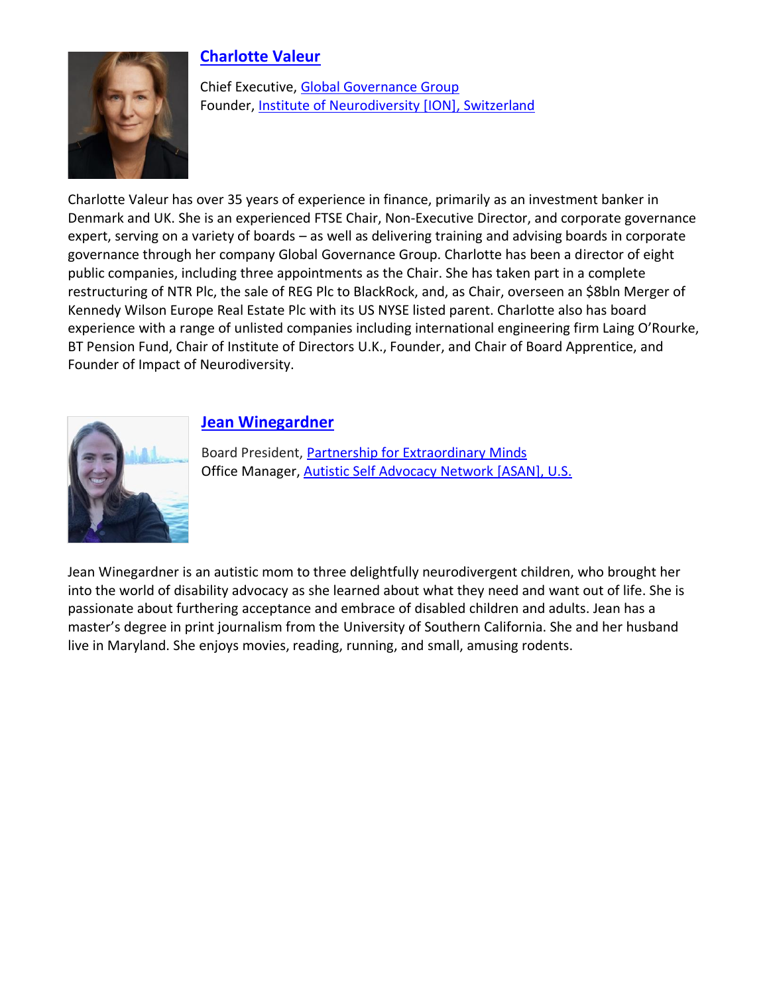

### **[Charlotte Valeur](https://www.linkedin.com/in/charlotte-valeur-she-her-a400104/?originalSubdomain=uk)**

Chief Executive, [Global Governance Group](http://www.global-governance-group.com/) Founder, [Institute of Neurodiversity \[ION\],](https://ioneurodiversity.org/) Switzerland

Charlotte Valeur has over 35 years of experience in finance, primarily as an investment banker in Denmark and UK. She is an experienced FTSE Chair, Non-Executive Director, and corporate governance expert, serving on a variety of boards – as well as delivering training and advising boards in corporate governance through her company Global Governance Group. Charlotte has been a director of eight public companies, including three appointments as the Chair. She has taken part in a complete restructuring of NTR Plc, the sale of REG Plc to BlackRock, and, as Chair, overseen an \$8bln Merger of Kennedy Wilson Europe Real Estate Plc with its US NYSE listed parent. Charlotte also has board experience with a range of unlisted companies including international engineering firm Laing O'Rourke, BT Pension Fund, Chair of Institute of Directors U.K., Founder, and Chair of Board Apprentice, and Founder of Impact of Neurodiversity.



#### **[Jean Winegardner](https://www.linkedin.com/in/jean-winegardner-ab3a378)**

Board President, [Partnership for Extraordinary Minds](https://xminds.org/) Office Manager[, Autistic Self Advocacy Network](https://autisticadvocacy.org/) [ASAN], U.S.

Jean Winegardner is an autistic mom to three delightfully neurodivergent children, who brought her into the world of disability advocacy as she learned about what they need and want out of life. She is passionate about furthering acceptance and embrace of disabled children and adults. Jean has a master's degree in print journalism from the University of Southern California. She and her husband live in Maryland. She enjoys movies, reading, running, and small, amusing rodents.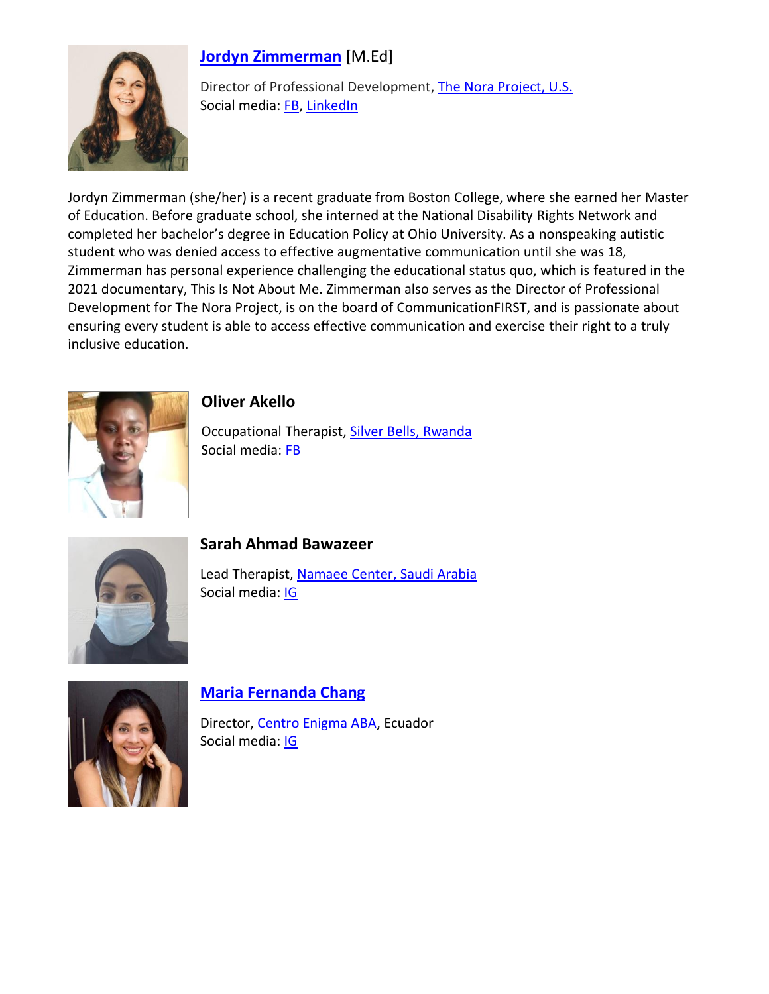# **[Jordyn Zimmerman](http://www.jordynzimmerman.com/)** [M.Ed]



Director of Professional Development, [The Nora Project,](https://thenoraproject.ngo/) U.S. Social media: [FB,](https://twitter.com/jordynbzim) [LinkedIn](https://www.linkedin.com/in/jordyn-zimmerman/)

Jordyn Zimmerman (she/her) is a recent graduate from Boston College, where she earned her Master of Education. Before graduate school, she interned at the National Disability Rights Network and completed her bachelor's degree in Education Policy at Ohio University. As a nonspeaking autistic student who was denied access to effective augmentative communication until she was 18, Zimmerman has personal experience challenging the educational status quo, which is featured in the 2021 documentary, This Is Not About Me. Zimmerman also serves as the Director of Professional Development for The Nora Project, is on the board of CommunicationFIRST, and is passionate about ensuring every student is able to access effective communication and exercise their right to a truly inclusive education.



**Oliver Akello**

Occupational Therapist, [Silver Bells,](http://www.silverbells.co.rw/) Rwanda Social media: [FB](https://www.facebook.com/silverbellsRW/)



# **Sarah Ahmad Bawazeer**

Lead Therapist, [Namaee Center,](https://namaee.com/) Saudi Arabia Social media: [IG](https://www.instagram.com/namaeecenter/)



# **[Maria Fernanda Chang](https://www.centroenigma.org/directora/)**

Director[, Centro Enigma ABA,](https://www.centroenigma.org/) Ecuador Social media: [IG](https://www.instagram.com/centroenigma/)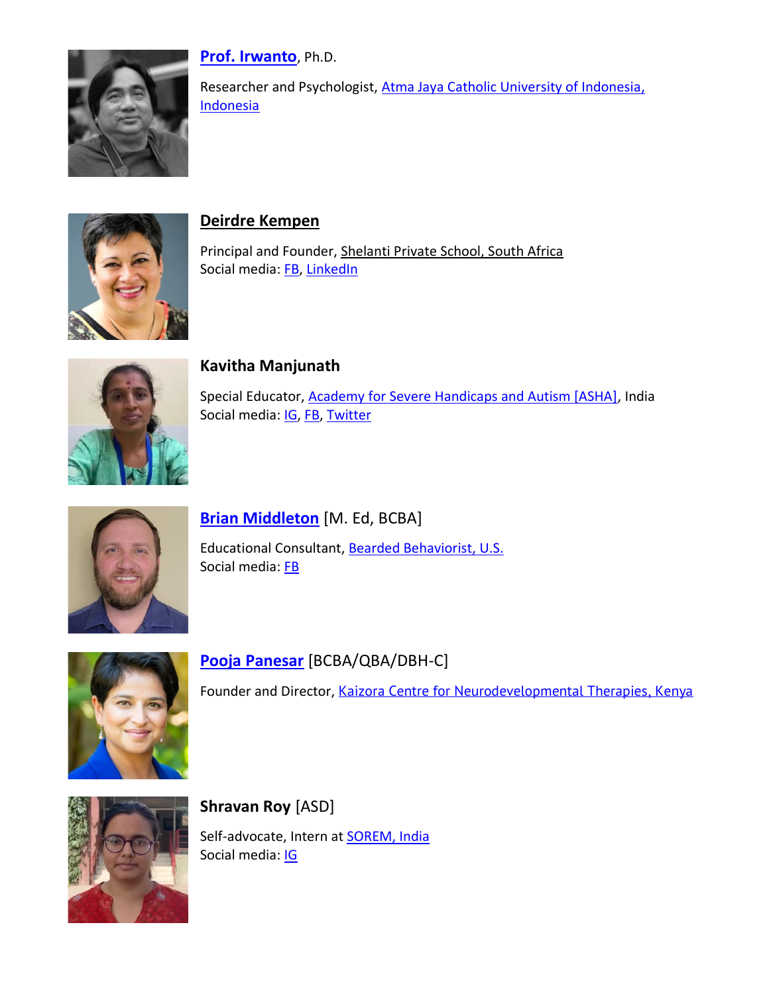

**[Prof. Irwanto](http://www.cpcnetwork.org/people/faculty-affiliates/irwanto/)**, Ph.D.

Researcher and Psychologist, [Atma Jaya Catholic University of Indonesia,](https://www.atmajaya.ac.id/web/) Indonesia



#### **Deirdre [Kempen](https://www.linkedin.com/in/deirdre-kempen-41a211176/)**

Principal and Founder, [Shelanti Private School,](http://www.shelantiprivateschool.co.za/) South Africa Social media: [FB,](https://www.facebook.com/shelantiprivateschool.co.za) [LinkedIn](https://www.linkedin.com/company/shelanti-private-school)



#### **Kavitha Manjunath**

Special Educator, [Academy for Severe Handicaps and Autism \[ASHA\],](https://www.ashaforautism.com/) India Social media: **IG**, [FB,](https://m.facebook.com/ashaforautism) [Twitter](https://twitter.com/ashaforautism)



#### **[Brian Middleton](https://www.instagram.com/beardedbehaviorist/?hl=en)** [M. Ed, BCBA]

Educational Consultant, [Bearded Behaviorist, U.S.](https://beardedbehaviorist.com/) Social media: [FB](https://www.facebook.com/BeardedBehaviorist/?ref=page_internal)



**[Pooja Panesar](https://www.kaizora.com/about)** [BCBA/QBA/DBH-C]

Founder and Director, [Kaizora Centre for Neurodevelopmental Therapies,](https://www.kaizora.com/) Kenya



**Shravan Roy** [ASD] Self-advocate, Intern at **SOREM**, India Social media: [IG](https://www.instagram.com/soremcare36/?hl=en)